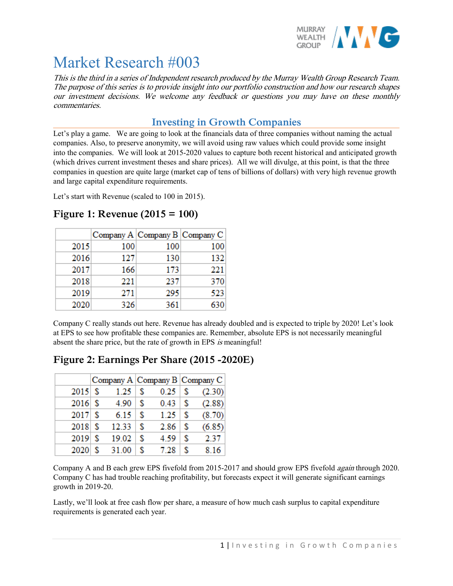

# Market Research #003

This is the third in a series of Independent research produced by the Murray Wealth Group Research Team. The purpose of this series is to provide insight into our portfolio construction and how our research shapes our investment decisions. We welcome any feedback or questions you may have on these monthly commentaries.

## **Investing in Growth Companies**

Let's play a game. We are going to look at the financials data of three companies without naming the actual companies. Also, to preserve anonymity, we will avoid using raw values which could provide some insight into the companies. We will look at 2015-2020 values to capture both recent historical and anticipated growth (which drives current investment theses and share prices). All we will divulge, at this point, is that the three companies in question are quite large (market cap of tens of billions of dollars) with very high revenue growth and large capital expenditure requirements.

Let's start with Revenue (scaled to 100 in 2015).

|      | Company A Company B Company C |     |     |
|------|-------------------------------|-----|-----|
| 2015 | 100                           | 100 | 100 |
| 2016 | 127                           | 130 | 132 |
| 2017 | 166                           | 173 | 221 |
| 2018 | 221                           | 237 | 370 |
| 2019 | 271                           | 295 | 523 |
| 2020 | 326                           | 361 | 630 |

# **Figure 1: Revenue (2015 = 100)**

Company C really stands out here. Revenue has already doubled and is expected to triple by 2020! Let's look at EPS to see how profitable these companies are. Remember, absolute EPS is not necessarily meaningful absent the share price, but the rate of growth in EPS is meaningful!

# **Figure 2: Earnings Per Share (2015 -2020E)**

|           | Company A Company B Company C |    |      |   |        |
|-----------|-------------------------------|----|------|---|--------|
| 2015S     | 1.25                          | S  | 0.25 | s | (2.30) |
| $2016$ \$ | 4.90                          | S  | 0.43 | S | (2.88) |
| 2017S     | 6.15                          | -S | 1.25 | S | (8.70) |
| 2018S     | 12.33                         | -S | 2.86 | S | (6.85) |
| 2019S     | 19.02                         | -S | 4.59 | S | 2.37   |
| 2020      | 31.00                         |    | 7.28 | S | 8.16   |

Company A and B each grew EPS fivefold from 2015-2017 and should grow EPS fivefold *again* through 2020. Company C has had trouble reaching profitability, but forecasts expect it will generate significant earnings growth in 2019-20.

Lastly, we'll look at free cash flow per share, a measure of how much cash surplus to capital expenditure requirements is generated each year.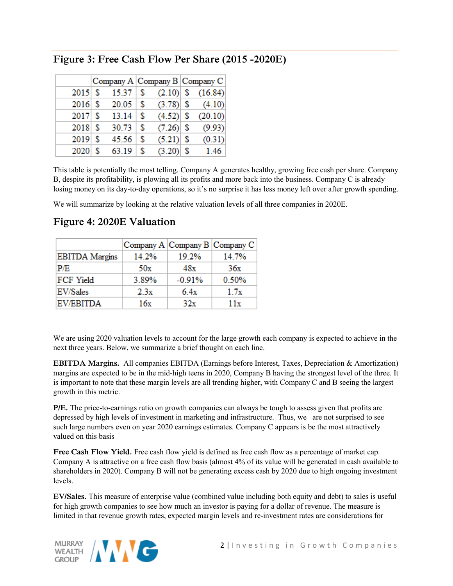|           |       |     |             | Company A Company B Company C |
|-----------|-------|-----|-------------|-------------------------------|
| $2015$ \$ | 15.37 | -S  | $(2.10)$ \$ | (16.84)                       |
| $2016$ \$ | 20.05 | -S  | $(3.78)$ \$ | (4.10)                        |
| 2017S     | 13.14 | -S  | $(4.52)$ \$ | (20.10)                       |
| $2018$ \$ | 30.73 | \$. | $(7.26)$ \$ | (9.93)                        |
| $2019$ \$ | 45.56 | -S  | $(5.21)$ \$ | (0.31)                        |
| $2020$ \$ | 63.19 | S   | $(3.20)$ \$ | 1.46                          |

# **Figure 3: Free Cash Flow Per Share (2015 -2020E)**

This table is potentially the most telling. Company A generates healthy, growing free cash per share. Company B, despite its profitability, is plowing all its profits and more back into the business. Company C is already losing money on its day-to-day operations, so it's no surprise it has less money left over after growth spending.

We will summarize by looking at the relative valuation levels of all three companies in 2020E.

|                       |       |          | Company A Company B Company C |
|-----------------------|-------|----------|-------------------------------|
| <b>EBITDA</b> Margins | 14.2% | 19.2%    | 14.7%                         |
| P/E                   | 50x   | 48x      | 36x                           |
| <b>FCF Yield</b>      | 3.89% | $-0.91%$ | 0.50%                         |
| <b>EV/Sales</b>       | 2.3x  | 6.4x     | 1.7x                          |
| <b>EV/EBITDA</b>      | 16x   | 32x      | 11x                           |

# **Figure 4: 2020E Valuation**

We are using 2020 valuation levels to account for the large growth each company is expected to achieve in the next three years. Below, we summarize a brief thought on each line.

**EBITDA Margins.** All companies EBITDA (Earnings before Interest, Taxes, Depreciation & Amortization) margins are expected to be in the mid-high teens in 2020, Company B having the strongest level of the three. It is important to note that these margin levels are all trending higher, with Company C and B seeing the largest growth in this metric.

**P/E.** The price-to-earnings ratio on growth companies can always be tough to assess given that profits are depressed by high levels of investment in marketing and infrastructure. Thus, we are not surprised to see such large numbers even on year 2020 earnings estimates. Company C appears is be the most attractively valued on this basis

**Free Cash Flow Yield.** Free cash flow yield is defined as free cash flow as a percentage of market cap. Company A is attractive on a free cash flow basis (almost 4% of its value will be generated in cash available to shareholders in 2020). Company B will not be generating excess cash by 2020 due to high ongoing investment levels.

**EV/Sales.** This measure of enterprise value (combined value including both equity and debt) to sales is useful for high growth companies to see how much an investor is paying for a dollar of revenue. The measure is limited in that revenue growth rates, expected margin levels and re-investment rates are considerations for

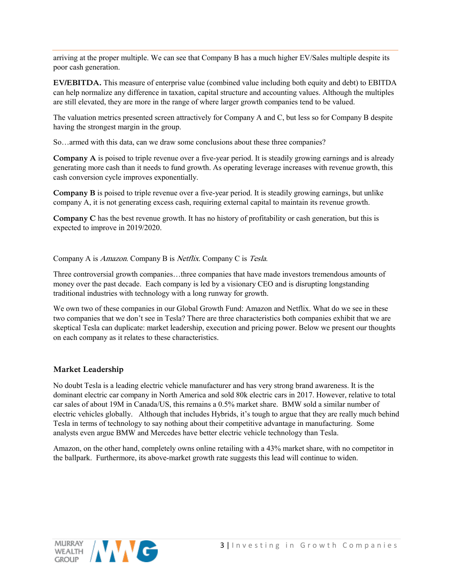arriving at the proper multiple. We can see that Company B has a much higher EV/Sales multiple despite its poor cash generation.

**EV/EBITDA.** This measure of enterprise value (combined value including both equity and debt) to EBITDA can help normalize any difference in taxation, capital structure and accounting values. Although the multiples are still elevated, they are more in the range of where larger growth companies tend to be valued.

The valuation metrics presented screen attractively for Company A and C, but less so for Company B despite having the strongest margin in the group.

So…armed with this data, can we draw some conclusions about these three companies?

**Company A** is poised to triple revenue over a five-year period. It is steadily growing earnings and is already generating more cash than it needs to fund growth. As operating leverage increases with revenue growth, this cash conversion cycle improves exponentially.

**Company B** is poised to triple revenue over a five-year period. It is steadily growing earnings, but unlike company A, it is not generating excess cash, requiring external capital to maintain its revenue growth.

**Company C** has the best revenue growth. It has no history of profitability or cash generation, but this is expected to improve in 2019/2020.

Company A is Amazon. Company B is Netflix. Company C is Tesla.

Three controversial growth companies…three companies that have made investors tremendous amounts of money over the past decade. Each company is led by a visionary CEO and is disrupting longstanding traditional industries with technology with a long runway for growth.

We own two of these companies in our Global Growth Fund: Amazon and Netflix. What do we see in these two companies that we don't see in Tesla? There are three characteristics both companies exhibit that we are skeptical Tesla can duplicate: market leadership, execution and pricing power. Below we present our thoughts on each company as it relates to these characteristics.

## **Market Leadership**

No doubt Tesla is a leading electric vehicle manufacturer and has very strong brand awareness. It is the dominant electric car company in North America and sold 80k electric cars in 2017. However, relative to total car sales of about 19M in Canada/US, this remains a 0.5% market share. BMW sold a similar number of electric vehicles globally. Although that includes Hybrids, it's tough to argue that they are really much behind Tesla in terms of technology to say nothing about their competitive advantage in manufacturing. Some analysts even argue BMW and Mercedes have better electric vehicle technology than Tesla.

Amazon, on the other hand, completely owns online retailing with a 43% market share, with no competitor in the ballpark. Furthermore, its above-market growth rate suggests this lead will continue to widen.

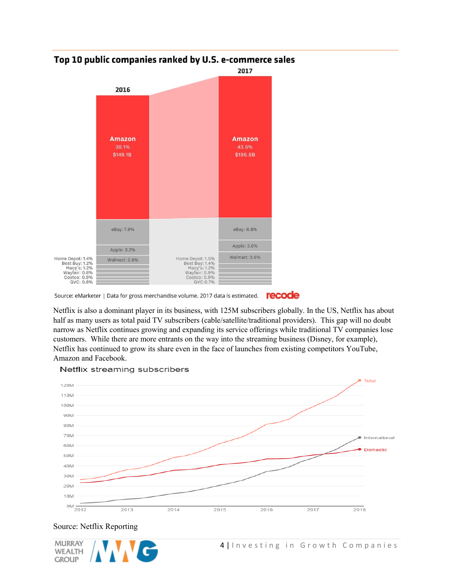

## Top 10 public companies ranked by U.S. e-commerce sales

Netflix is also a dominant player in its business, with 125M subscribers globally. In the US, Netflix has about half as many users as total paid TV subscribers (cable/satellite/traditional providers). This gap will no doubt narrow as Netflix continues growing and expanding its service offerings while traditional TV companies lose customers. While there are more entrants on the way into the streaming business (Disney, for example), Netflix has continued to grow its share even in the face of launches from existing competitors YouTube, Amazon and Facebook.



#### Netflix streaming subscribers

## Source: Netflix Reporting



recode Source: eMarketer | Data for gross merchandise volume. 2017 data is estimated.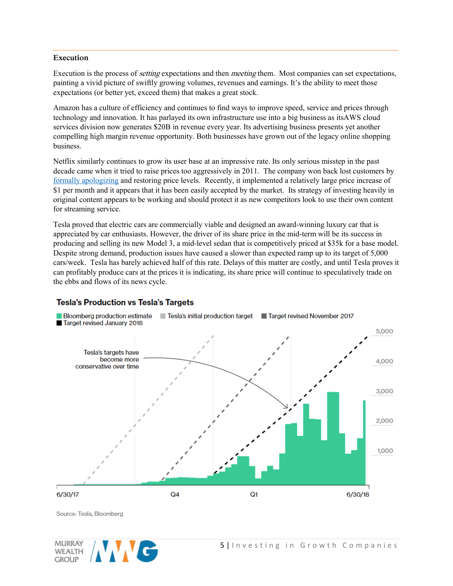#### **Execution**

Execution is the process of *setting* expectations and then *meeting* them. Most companies can set expectations, painting a vivid picture of swiftly growing volumes, revenues and earnings. It's the ability to meet those expectations (or better yet, exceed them) that makes a great stock.

Amazon has a culture of efficiency and continues to find ways to improve speed, service and prices through technology and innovation. It has parlayed its own infrastructure use into a big business as itsAWS cloud services division now generates \$20B in revenue every year. Its advertising business presents yet another compelling high margin revenue opportunity. Both businesses have grown out of the legacy online shopping business.

Netflix similarly continues to grow its user base at an impressive rate. Its only serious misstep in the past decade came when it tried to raise prices too aggressively in 2011. The company won back lost customers by [formally apologizing](http://edition.cnn.com/2011/BUSINESS/09/19/netflix.ceo.apology/index.html) and restoring price levels. Recently, it implemented a relatively large price increase of \$1 per month and it appears that it has been easily accepted by the market. Its strategy of investing heavily in original content appears to be working and should protect it as new competitors look to use their own content for streaming service.

Tesla proved that electric cars are commercially viable and designed an award-winning luxury car that is appreciated by car enthusiasts. However, the driver of its share price in the mid-term will be its success in producing and selling its new Model 3, a mid-level sedan that is competitively priced at \$35k for a base model. Despite strong demand, production issues have caused a slower than expected ramp up to its target of 5,000 cars/week. Tesla has barely achieved half of this rate. Delays of this matter are costly, and until Tesla proves it can profitably produce cars at the prices it is indicating, its share price will continue to speculatively trade on the ebbs and flows of its news cycle.

## **Tesla's Production vs Tesla's Targets**



Source: Tesla, Bloomberg